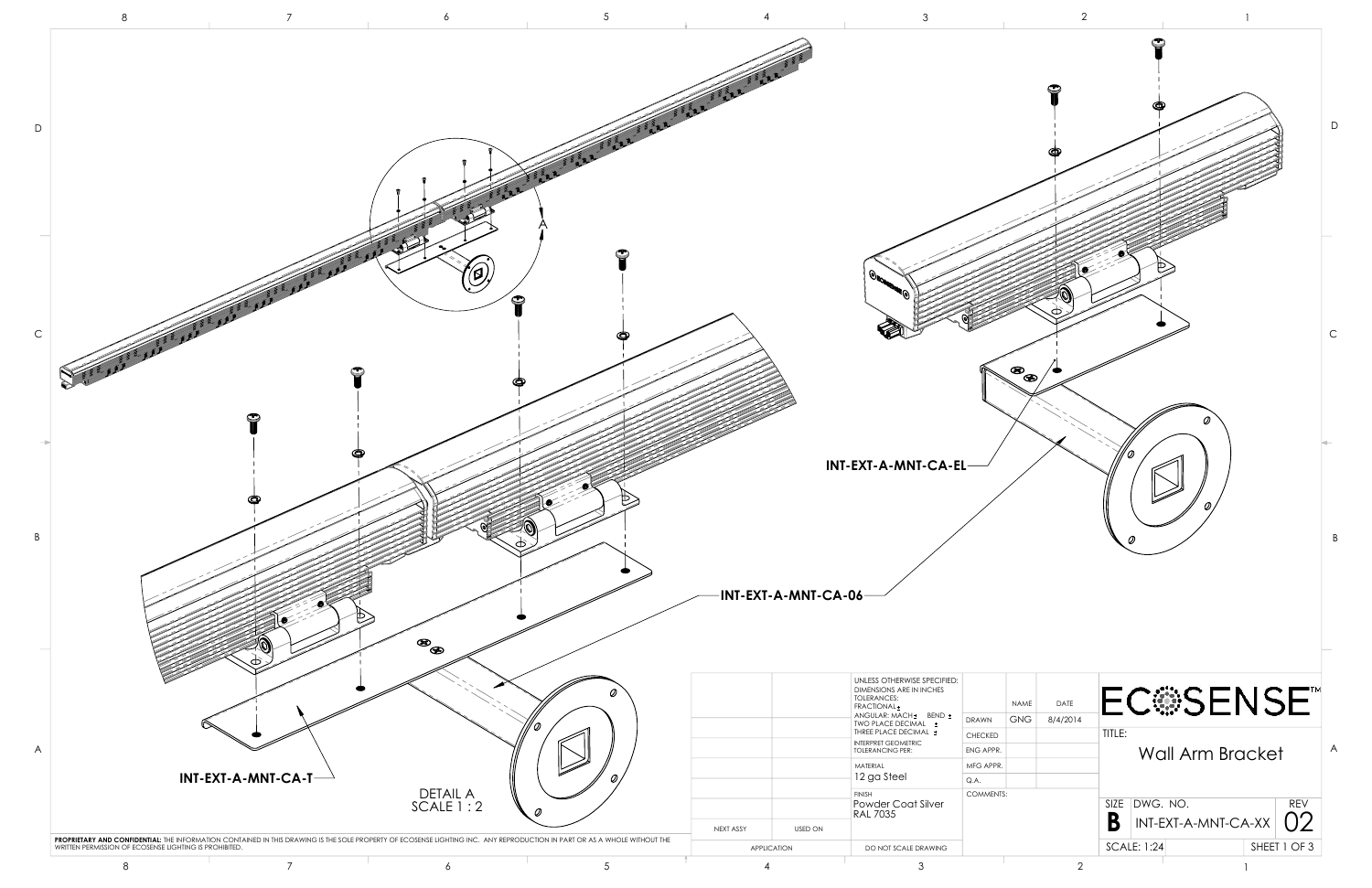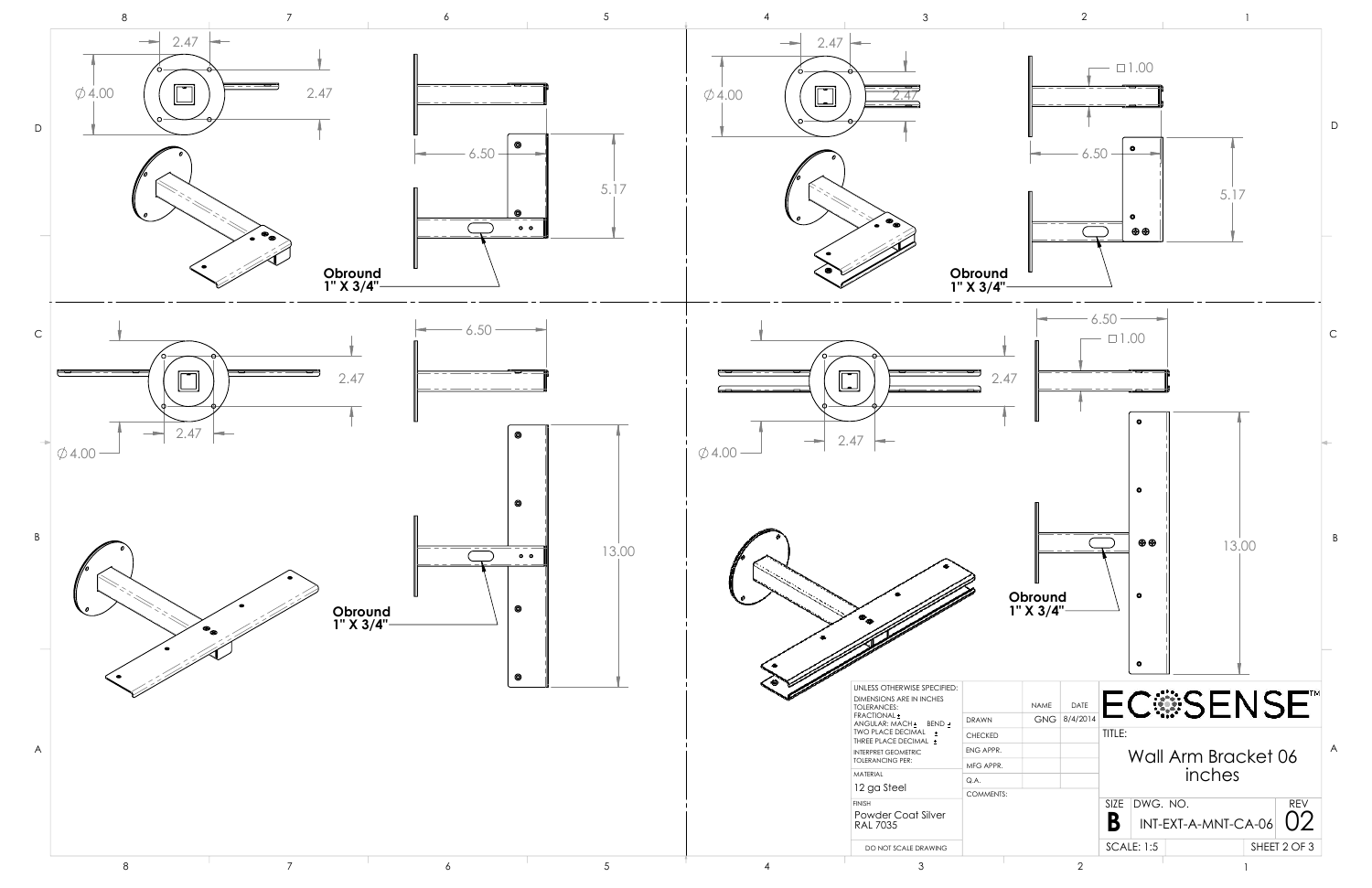